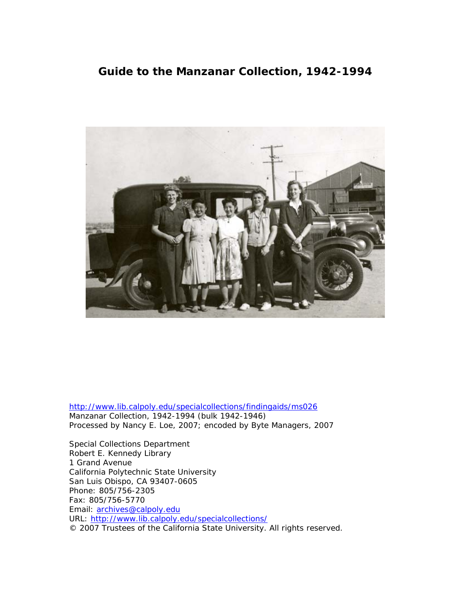## **Guide to the Manzanar Collection, 1942-1994**



[http://www.lib.calpoly.edu/specialcollections/findingaids/ms026](http://www.lib.calpoly.edu/specialcollections/findingaids/ms%3Cnumber) Manzanar Collection, 1942-1994 (bulk 1942-1946) Processed by Nancy E. Loe, 2007; encoded by Byte Managers, 2007

Special Collections Department Robert E. Kennedy Library 1 Grand Avenue California Polytechnic State University San Luis Obispo, CA 93407-0605 Phone: 805/756-2305 Fax: 805/756-5770 Email: [archives@calpoly.edu](mailto:archives@calpoly.edu) URL: http://www.lib.calpoly.edu/specialcollections/ © 2007 Trustees of the California State University. All rights reserved.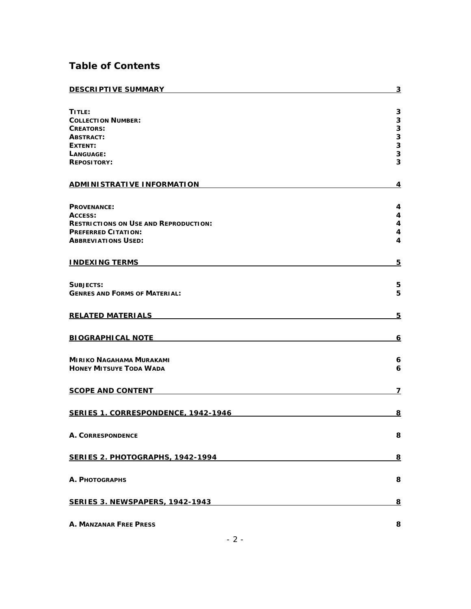# **Table of Contents**

| <b>DESCRIPTIVE SUMMARY</b>                   | 3        |
|----------------------------------------------|----------|
| TITLE:                                       | 3        |
| <b>COLLECTION NUMBER:</b>                    | 3        |
| <b>CREATORS:</b>                             | 3        |
| <b>ABSTRACT:</b>                             | 3        |
| EXTENT:                                      | 3        |
|                                              | 3        |
| LANGUAGE:                                    | 3        |
| <b>REPOSITORY:</b>                           |          |
| <b>ADMINISTRATIVE INFORMATION</b>            | 4        |
|                                              |          |
| <b>PROVENANCE:</b>                           | 4        |
| ACCESS:                                      | 4        |
| <b>RESTRICTIONS ON USE AND REPRODUCTION:</b> | 4        |
| <b>PREFERRED CITATION:</b>                   | 4        |
| <b>ABBREVIATIONS USED:</b>                   | 4        |
|                                              |          |
| <b>INDEXING TERMS</b>                        | 5        |
|                                              |          |
| SUBJECTS:                                    | 5        |
| <b>GENRES AND FORMS OF MATERIAL:</b>         | 5        |
| <b>RELATED MATERIALS</b>                     | 5        |
|                                              |          |
| <b>BIOGRAPHICAL NOTE</b>                     | 6        |
|                                              |          |
|                                              |          |
| <b>MIRIKO NAGAHAMA MURAKAMI</b>              | 6        |
| <b>HONEY MITSUYE TODA WADA</b>               | 6        |
| <b>SCOPE AND CONTENT</b>                     | 7        |
|                                              |          |
| <b>SERIES 1. CORRESPONDENCE, 1942-1946</b>   | <u>8</u> |
|                                              |          |
| <b>A. CORRESPONDENCE</b>                     | 8        |
|                                              |          |
| SERIES 2. PHOTOGRAPHS, 1942-1994             | 8        |
|                                              |          |
| A. PHOTOGRAPHS                               | 8        |
|                                              |          |
| <b>SERIES 3. NEWSPAPERS, 1942-1943</b>       | 8        |
|                                              |          |
| <b>A. MANZANAR FREE PRESS</b>                | 8        |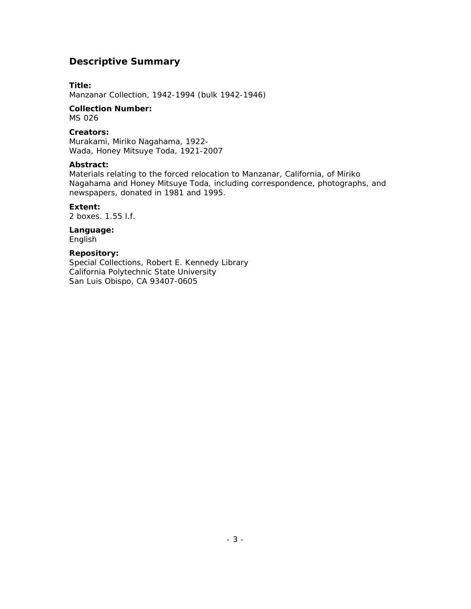## <span id="page-2-0"></span>**Descriptive Summary**

### **Title:**

Manzanar Collection, 1942-1994 (bulk 1942-1946)

## **Collection Number:**

MS 026

#### **Creators:**

Murakami, Miriko Nagahama, 1922- Wada, Honey Mitsuye Toda, 1921-2007

#### **Abstract:**

Materials relating to the forced relocation to Manzanar, California, of Miriko Nagahama and Honey Mitsuye Toda, including correspondence, photographs, and newspapers, donated in 1981 and 1995.

#### **Extent:**

2 boxes. 1.55 l.f.

## **Language:**

English

### **Repository:**

Special Collections, Robert E. Kennedy Library California Polytechnic State University San Luis Obispo, CA 93407-0605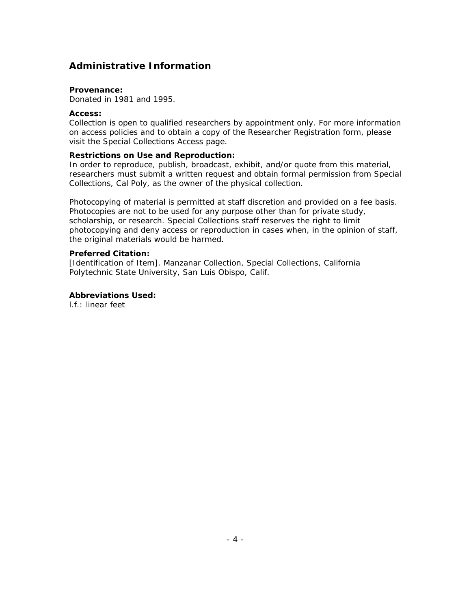## <span id="page-3-0"></span>**Administrative Information**

#### **Provenance:**

Donated in 1981 and 1995.

#### **Access:**

Collection is open to qualified researchers by appointment only. For more information on access policies and to obtain a copy of the Researcher Registration form, please visit the Special Collections Access page.

#### **Restrictions on Use and Reproduction:**

In order to reproduce, publish, broadcast, exhibit, and/or quote from this material, researchers must submit a written request and obtain formal permission from Special Collections, Cal Poly, as the owner of the physical collection.

Photocopying of material is permitted at staff discretion and provided on a fee basis. Photocopies are not to be used for any purpose other than for private study, scholarship, or research. Special Collections staff reserves the right to limit photocopying and deny access or reproduction in cases when, in the opinion of staff, the original materials would be harmed.

#### **Preferred Citation:**

[Identification of Item]. Manzanar Collection, Special Collections, California Polytechnic State University, San Luis Obispo, Calif.

#### **Abbreviations Used:**

l.f.: linear feet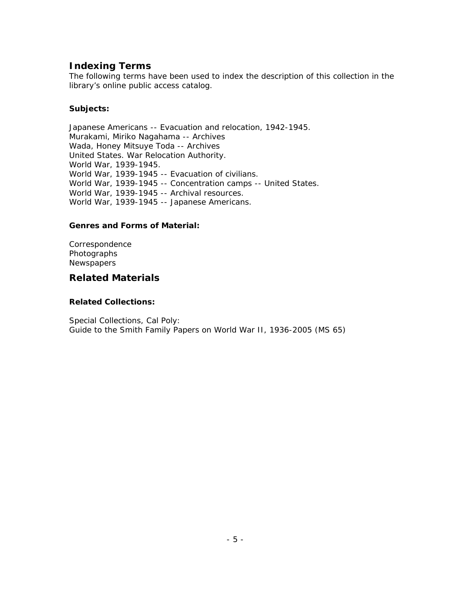## <span id="page-4-0"></span>**Indexing Terms**

The following terms have been used to index the description of this collection in the library's online public access catalog.

### **Subjects:**

Japanese Americans -- Evacuation and relocation, 1942-1945. Murakami, Miriko Nagahama -- Archives Wada, Honey Mitsuye Toda -- Archives United States. War Relocation Authority. World War, 1939-1945. World War, 1939-1945 -- Evacuation of civilians. World War, 1939-1945 -- Concentration camps -- United States. World War, 1939-1945 -- Archival resources. World War, 1939-1945 -- Japanese Americans.

### **Genres and Forms of Material:**

Correspondence Photographs **Newspapers** 

## **Related Materials**

### **Related Collections:**

Special Collections, Cal Poly: Guide to the Smith Family Papers on World War II, 1936-2005 (MS 65)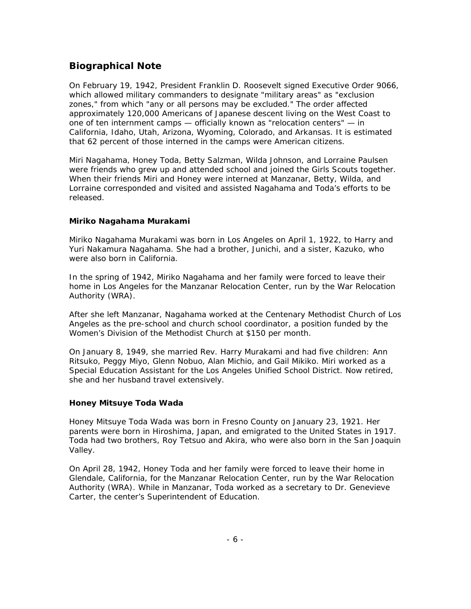## <span id="page-5-0"></span>**Biographical Note**

On February 19, 1942, President Franklin D. Roosevelt signed Executive Order 9066, which allowed military commanders to designate "military areas" as "exclusion zones," from which "any or all persons may be excluded." The order affected approximately 120,000 Americans of Japanese descent living on the West Coast to one of ten internment camps — officially known as "relocation centers" — in California, Idaho, Utah, Arizona, Wyoming, Colorado, and Arkansas. It is estimated that 62 percent of those interned in the camps were American citizens.

Miri Nagahama, Honey Toda, Betty Salzman, Wilda Johnson, and Lorraine Paulsen were friends who grew up and attended school and joined the Girls Scouts together. When their friends Miri and Honey were interned at Manzanar, Betty, Wilda, and Lorraine corresponded and visited and assisted Nagahama and Toda's efforts to be released.

### **Miriko Nagahama Murakami**

Miriko Nagahama Murakami was born in Los Angeles on April 1, 1922, to Harry and Yuri Nakamura Nagahama. She had a brother, Junichi, and a sister, Kazuko, who were also born in California.

In the spring of 1942, Miriko Nagahama and her family were forced to leave their home in Los Angeles for the Manzanar Relocation Center, run by the War Relocation Authority (WRA).

After she left Manzanar, Nagahama worked at the Centenary Methodist Church of Los Angeles as the pre-school and church school coordinator, a position funded by the Women's Division of the Methodist Church at \$150 per month.

On January 8, 1949, she married Rev. Harry Murakami and had five children: Ann Ritsuko, Peggy Miyo, Glenn Nobuo, Alan Michio, and Gail Mikiko. Miri worked as a Special Education Assistant for the Los Angeles Unified School District. Now retired, she and her husband travel extensively.

### **Honey Mitsuye Toda Wada**

Honey Mitsuye Toda Wada was born in Fresno County on January 23, 1921. Her parents were born in Hiroshima, Japan, and emigrated to the United States in 1917. Toda had two brothers, Roy Tetsuo and Akira, who were also born in the San Joaquin Valley.

On April 28, 1942, Honey Toda and her family were forced to leave their home in Glendale, California, for the Manzanar Relocation Center, run by the War Relocation Authority (WRA). While in Manzanar, Toda worked as a secretary to Dr. Genevieve Carter, the center's Superintendent of Education.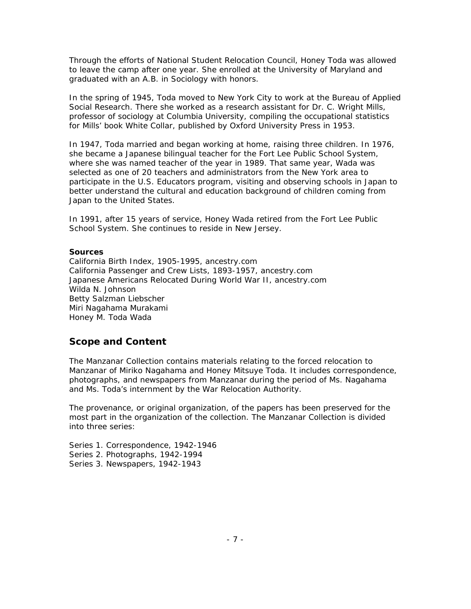<span id="page-6-0"></span>Through the efforts of National Student Relocation Council, Honey Toda was allowed to leave the camp after one year. She enrolled at the University of Maryland and graduated with an A.B. in Sociology with honors.

In the spring of 1945, Toda moved to New York City to work at the Bureau of Applied Social Research. There she worked as a research assistant for Dr. C. Wright Mills, professor of sociology at Columbia University, compiling the occupational statistics for Mills' book *White Collar*, published by Oxford University Press in 1953.

In 1947, Toda married and began working at home, raising three children. In 1976, she became a Japanese bilingual teacher for the Fort Lee Public School System, where she was named teacher of the year in 1989. That same year, Wada was selected as one of 20 teachers and administrators from the New York area to participate in the U.S. Educators program, visiting and observing schools in Japan to better understand the cultural and education background of children coming from Japan to the United States.

In 1991, after 15 years of service, Honey Wada retired from the Fort Lee Public School System. She continues to reside in New Jersey.

#### **Sources**

California Birth Index, 1905-1995, ancestry.com California Passenger and Crew Lists, 1893-1957, ancestry.com Japanese Americans Relocated During World War II, ancestry.com Wilda N. Johnson Betty Salzman Liebscher Miri Nagahama Murakami Honey M. Toda Wada

## **Scope and Content**

The Manzanar Collection contains materials relating to the forced relocation to Manzanar of Miriko Nagahama and Honey Mitsuye Toda. It includes correspondence, photographs, and newspapers from Manzanar during the period of Ms. Nagahama and Ms. Toda's internment by the War Relocation Authority.

The provenance, or original organization, of the papers has been preserved for the most part in the organization of the collection. The Manzanar Collection is divided into three series:

Series 1. Correspondence, 1942-1946 Series 2. Photographs, 1942-1994 Series 3. Newspapers, 1942-1943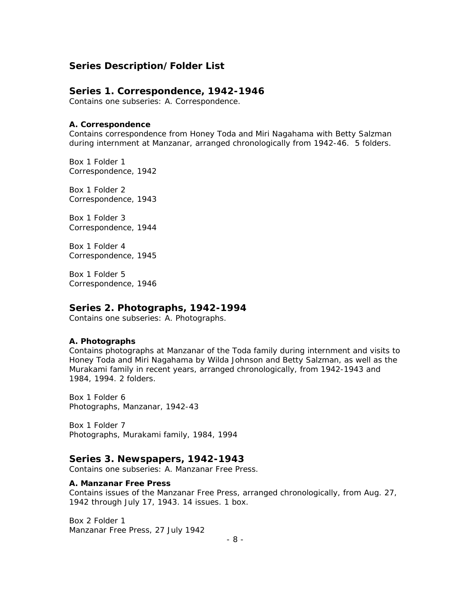## <span id="page-7-0"></span>**Series Description/Folder List**

### **Series 1. Correspondence, 1942-1946**

Contains one subseries: A. Correspondence.

#### **A. Correspondence**

Contains correspondence from Honey Toda and Miri Nagahama with Betty Salzman during internment at Manzanar, arranged chronologically from 1942-46. 5 folders.

Box 1 Folder 1 Correspondence, 1942

Box 1 Folder 2 Correspondence, 1943

Box 1 Folder 3 Correspondence, 1944

Box 1 Folder 4 Correspondence, 1945

Box 1 Folder 5 Correspondence, 1946

### **Series 2. Photographs, 1942-1994**

Contains one subseries: A. Photographs.

#### **A. Photographs**

Contains photographs at Manzanar of the Toda family during internment and visits to Honey Toda and Miri Nagahama by Wilda Johnson and Betty Salzman, as well as the Murakami family in recent years, arranged chronologically, from 1942-1943 and 1984, 1994. 2 folders.

Box 1 Folder 6 Photographs, Manzanar, 1942-43

Box 1 Folder 7 Photographs, Murakami family, 1984, 1994

#### **Series 3. Newspapers, 1942-1943**

Contains one subseries: A. Manzanar Free Press.

#### **A. Manzanar Free Press**

Contains issues of the Manzanar Free Press, arranged chronologically, from Aug. 27, 1942 through July 17, 1943. 14 issues. 1 box.

Box 2 Folder 1 Manzanar Free Press, 27 July 1942

- 8 -